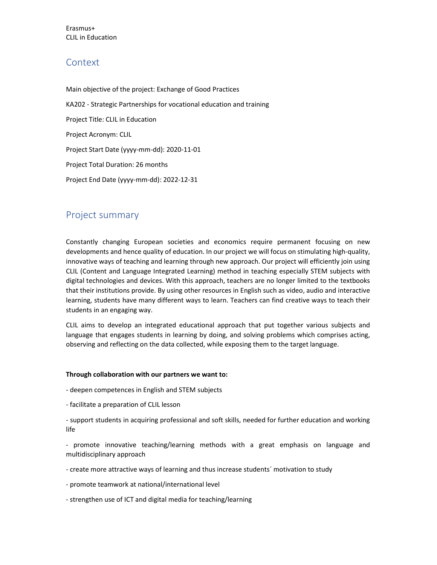Erasmus+ CLIL in Education

## Context

Main objective of the project: Exchange of Good Practices KA202 - Strategic Partnerships for vocational education and training Project Title: CLIL in Education Project Acronym: CLIL Project Start Date (yyyy-mm-dd): 2020-11-01 Project Total Duration: 26 months Project End Date (yyyy-mm-dd): 2022-12-31

## Project summary

Constantly changing European societies and economics require permanent focusing on new developments and hence quality of education. In our project we will focus on stimulating high-quality, innovative ways of teaching and learning through new approach. Our project will efficiently join using CLIL (Content and Language Integrated Learning) method in teaching especially STEM subjects with digital technologies and devices. With this approach, teachers are no longer limited to the textbooks that their institutions provide. By using other resources in English such as video, audio and interactive learning, students have many different ways to learn. Teachers can find creative ways to teach their students in an engaging way.

CLIL aims to develop an integrated educational approach that put together various subjects and language that engages students in learning by doing, and solving problems which comprises acting, observing and reflecting on the data collected, while exposing them to the target language.

### Through collaboration with our partners we want to:

- deepen competences in English and STEM subjects
- facilitate a preparation of CLIL lesson

- support students in acquiring professional and soft skills, needed for further education and working life

- promote innovative teaching/learning methods with a great emphasis on language and multidisciplinary approach

- create more attractive ways of learning and thus increase students´ motivation to study
- promote teamwork at national/international level
- strengthen use of ICT and digital media for teaching/learning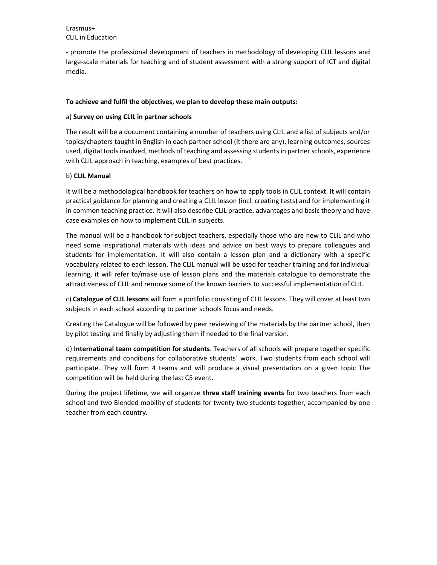Erasmus+ CLIL in Education

- promote the professional development of teachers in methodology of developing CLIL lessons and large-scale materials for teaching and of student assessment with a strong support of ICT and digital media.

### To achieve and fulfil the objectives, we plan to develop these main outputs:

### a) Survey on using CLIL in partner schools

The result will be a document containing a number of teachers using CLIL and a list of subjects and/or topics/chapters taught in English in each partner school (it there are any), learning outcomes, sources used, digital tools involved, methods of teaching and assessing students in partner schools, experience with CLIL approach in teaching, examples of best practices.

### b) CLIL Manual

It will be a methodological handbook for teachers on how to apply tools in CLIL context. It will contain practical guidance for planning and creating a CLIL lesson (incl. creating tests) and for implementing it in common teaching practice. It will also describe CLIL practice, advantages and basic theory and have case examples on how to implement CLIL in subjects.

The manual will be a handbook for subject teachers, especially those who are new to CLIL and who need some inspirational materials with ideas and advice on best ways to prepare colleagues and students for implementation. It will also contain a lesson plan and a dictionary with a specific vocabulary related to each lesson. The CLIL manual will be used for teacher training and for individual learning, it will refer to/make use of lesson plans and the materials catalogue to demonstrate the attractiveness of CLIL and remove some of the known barriers to successful implementation of CLIL.

c) Catalogue of CLIL lessons will form a portfolio consisting of CLIL lessons. They will cover at least two subjects in each school according to partner schools focus and needs.

Creating the Catalogue will be followed by peer reviewing of the materials by the partner school, then by pilot testing and finally by adjusting them if needed to the final version.

d) International team competition for students. Teachers of all schools will prepare together specific requirements and conditions for collaborative students´ work. Two students from each school will participate. They will form 4 teams and will produce a visual presentation on a given topic The competition will be held during the last C5 event.

During the project lifetime, we will organize three staff training events for two teachers from each school and two Blended mobility of students for twenty two students together, accompanied by one teacher from each country.